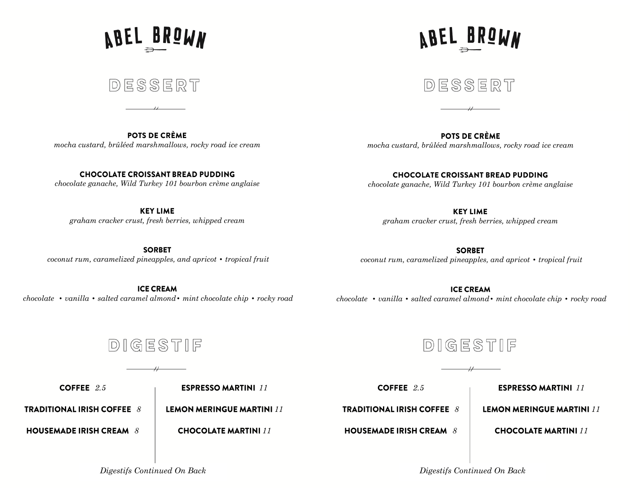**ABEL BROWN** 

DESSERT

**VBEL BKÖMN** 

DESSERT

POTS DE CRÈME *mocha custard, brûléed marshmallows, rocky road ice cream*

**CHOCOLATE CROISSANT BREAD PUDDING** *chocolate ganache, Wild Turkey 101 bourbon crème anglaise*

**KEY LIME** *graham cracker crust, fresh berries, whipped cream*

**SORBET** *coconut rum, caramelized pineapples, and apricot • tropical fruit*

**ICE CREAM** *chocolate • vanilla • salted caramel almond• mint chocolate chip • rocky road* 

POTS DE CRÈME *mocha custard, brûléed marshmallows, rocky road ice cream*

**CHOCOLATE CROISSANT BREAD PUDDING** *chocolate ganache, Wild Turkey 101 bourbon crème anglaise*

**KEY LIME** *graham cracker crust, fresh berries, whipped cream*

**SORBET** *coconut rum, caramelized pineapples, and apricot • tropical fruit*

**ICE CREAM** *chocolate • vanilla • salted caramel almond• mint chocolate chip • rocky road*

DIGESTIF

*2.5*

**ESPRESSO MARTINI 11** 

**TRADITIONAL IRISH COFFEE 8** 

**HOUSEMADE IRISH CREAM 8** 

**LEMON MERINGUE MARTINI 11 CHOCOLATE MARTINI 11** 



*2.5* **TRADITIONAL IRISH COFFEE** 8

**HOUSEMADE IRISH CREAM 8** 

**ESPRESSO MARTINI 11 LEMON MERINGUE MARTINI 11** 

**CHOCOLATE MARTINI 11** 

*Digestifs Continued On Back Digestifs Continued On Back*